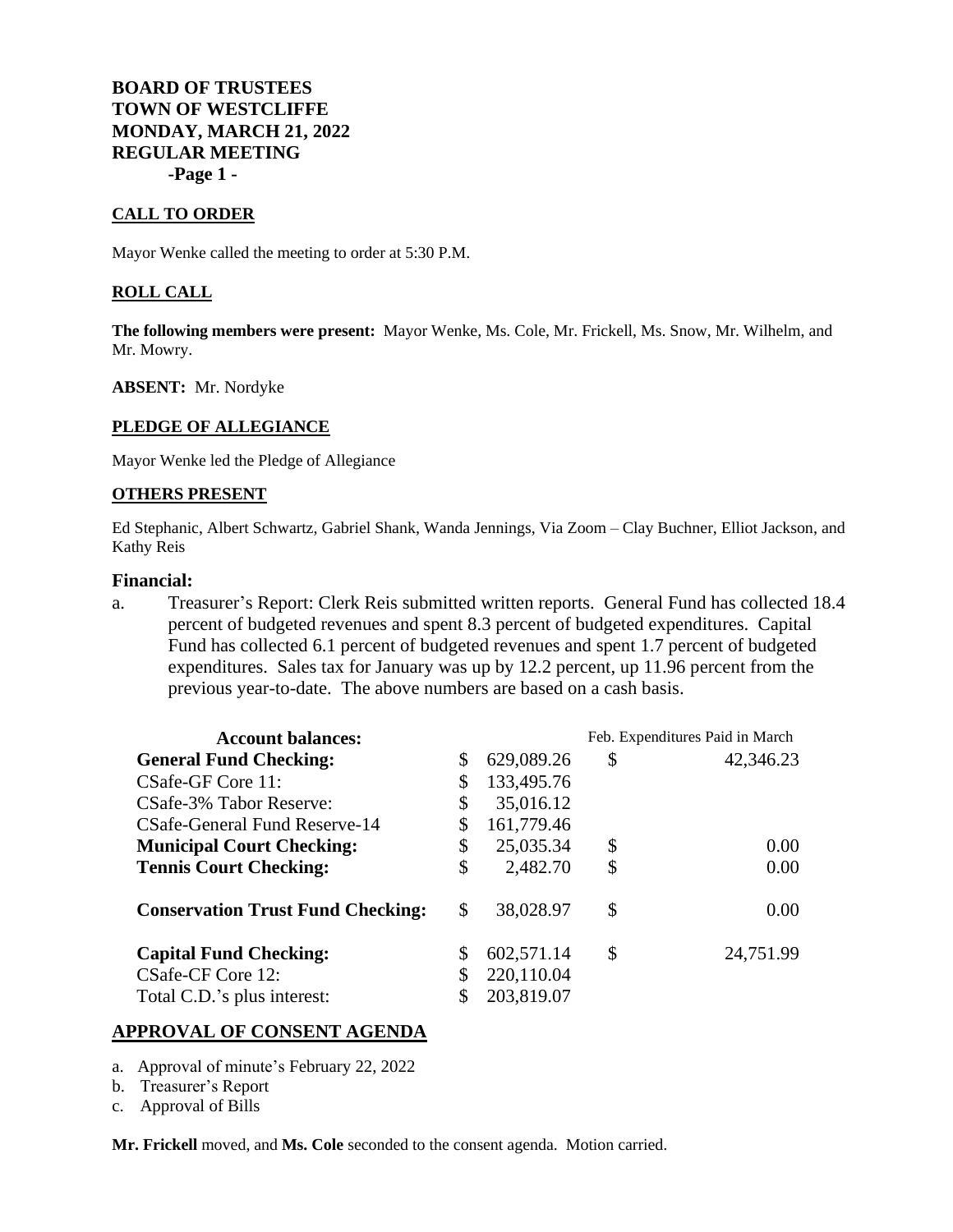**BOARD OF TRUSTEES TOWN OF WESTCLIFFE MONDAY, MARCH 21, 2022 REGULAR MEETING -Page 1 -**

## **CALL TO ORDER**

Mayor Wenke called the meeting to order at 5:30 P.M.

### **ROLL CALL**

**The following members were present:** Mayor Wenke, Ms. Cole, Mr. Frickell, Ms. Snow, Mr. Wilhelm, and Mr. Mowry.

**ABSENT:** Mr. Nordyke

## **PLEDGE OF ALLEGIANCE**

Mayor Wenke led the Pledge of Allegiance

#### **OTHERS PRESENT**

Ed Stephanic, Albert Schwartz, Gabriel Shank, Wanda Jennings, Via Zoom – Clay Buchner, Elliot Jackson, and Kathy Reis

#### **Financial:**

a. Treasurer's Report: Clerk Reis submitted written reports. General Fund has collected 18.4 percent of budgeted revenues and spent 8.3 percent of budgeted expenditures. Capital Fund has collected 6.1 percent of budgeted revenues and spent 1.7 percent of budgeted expenditures. Sales tax for January was up by 12.2 percent, up 11.96 percent from the previous year-to-date. The above numbers are based on a cash basis.

| <b>Account balances:</b>                 |    |            | Feb. Expenditures Paid in March |           |
|------------------------------------------|----|------------|---------------------------------|-----------|
| <b>General Fund Checking:</b>            | \$ | 629,089.26 | \$                              | 42,346.23 |
| CSafe-GF Core 11:                        | \$ | 133,495.76 |                                 |           |
| CSafe-3% Tabor Reserve:                  | S  | 35,016.12  |                                 |           |
| CSafe-General Fund Reserve-14            |    | 161,779.46 |                                 |           |
| <b>Municipal Court Checking:</b>         | \$ | 25,035.34  | \$                              | 0.00      |
| <b>Tennis Court Checking:</b>            | \$ | 2,482.70   | \$                              | 0.00      |
| <b>Conservation Trust Fund Checking:</b> | \$ | 38,028.97  | \$                              | 0.00      |
| <b>Capital Fund Checking:</b>            | S  | 602,571.14 | \$                              | 24,751.99 |
| CSafe-CF Core 12:                        |    | 220,110.04 |                                 |           |
| Total C.D.'s plus interest:              |    | 203,819.07 |                                 |           |

### **APPROVAL OF CONSENT AGENDA**

- a. Approval of minute's February 22, 2022
- b. Treasurer's Report
- c. Approval of Bills

**Mr. Frickell** moved, and **Ms. Cole** seconded to the consent agenda. Motion carried.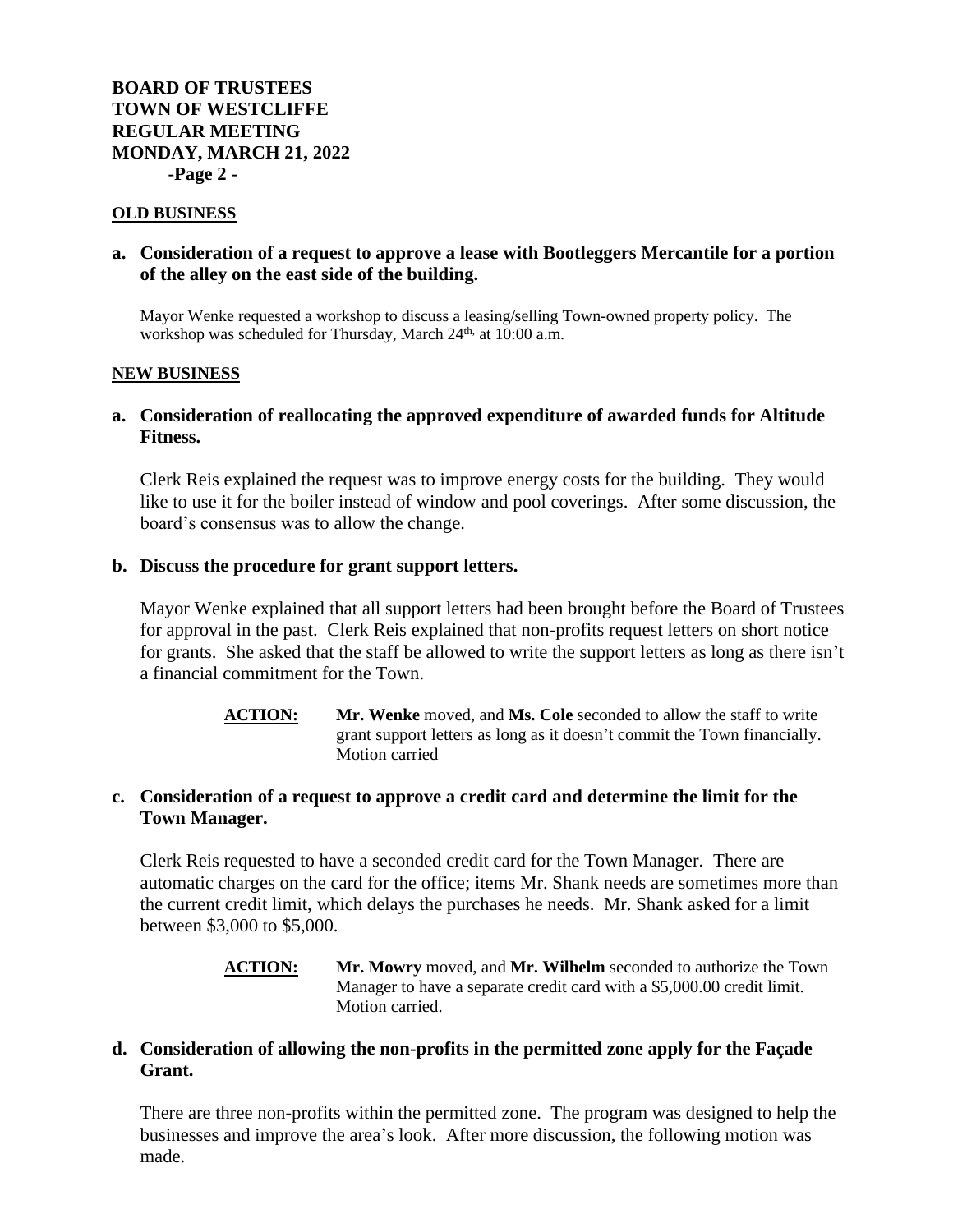### **OLD BUSINESS**

## **a. Consideration of a request to approve a lease with Bootleggers Mercantile for a portion of the alley on the east side of the building.**

Mayor Wenke requested a workshop to discuss a leasing/selling Town-owned property policy. The workshop was scheduled for Thursday, March 24<sup>th,</sup> at 10:00 a.m.

### **NEW BUSINESS**

# **a. Consideration of reallocating the approved expenditure of awarded funds for Altitude Fitness.**

Clerk Reis explained the request was to improve energy costs for the building. They would like to use it for the boiler instead of window and pool coverings. After some discussion, the board's consensus was to allow the change.

## **b. Discuss the procedure for grant support letters.**

Mayor Wenke explained that all support letters had been brought before the Board of Trustees for approval in the past. Clerk Reis explained that non-profits request letters on short notice for grants. She asked that the staff be allowed to write the support letters as long as there isn't a financial commitment for the Town.

> **ACTION: Mr. Wenke** moved, and **Ms. Cole** seconded to allow the staff to write grant support letters as long as it doesn't commit the Town financially. Motion carried

# **c. Consideration of a request to approve a credit card and determine the limit for the Town Manager.**

Clerk Reis requested to have a seconded credit card for the Town Manager. There are automatic charges on the card for the office; items Mr. Shank needs are sometimes more than the current credit limit, which delays the purchases he needs. Mr. Shank asked for a limit between \$3,000 to \$5,000.

## **ACTION: Mr. Mowry** moved, and **Mr. Wilhelm** seconded to authorize the Town Manager to have a separate credit card with a \$5,000.00 credit limit. Motion carried.

# **d. Consideration of allowing the non-profits in the permitted zone apply for the Façade Grant.**

There are three non-profits within the permitted zone. The program was designed to help the businesses and improve the area's look. After more discussion, the following motion was made.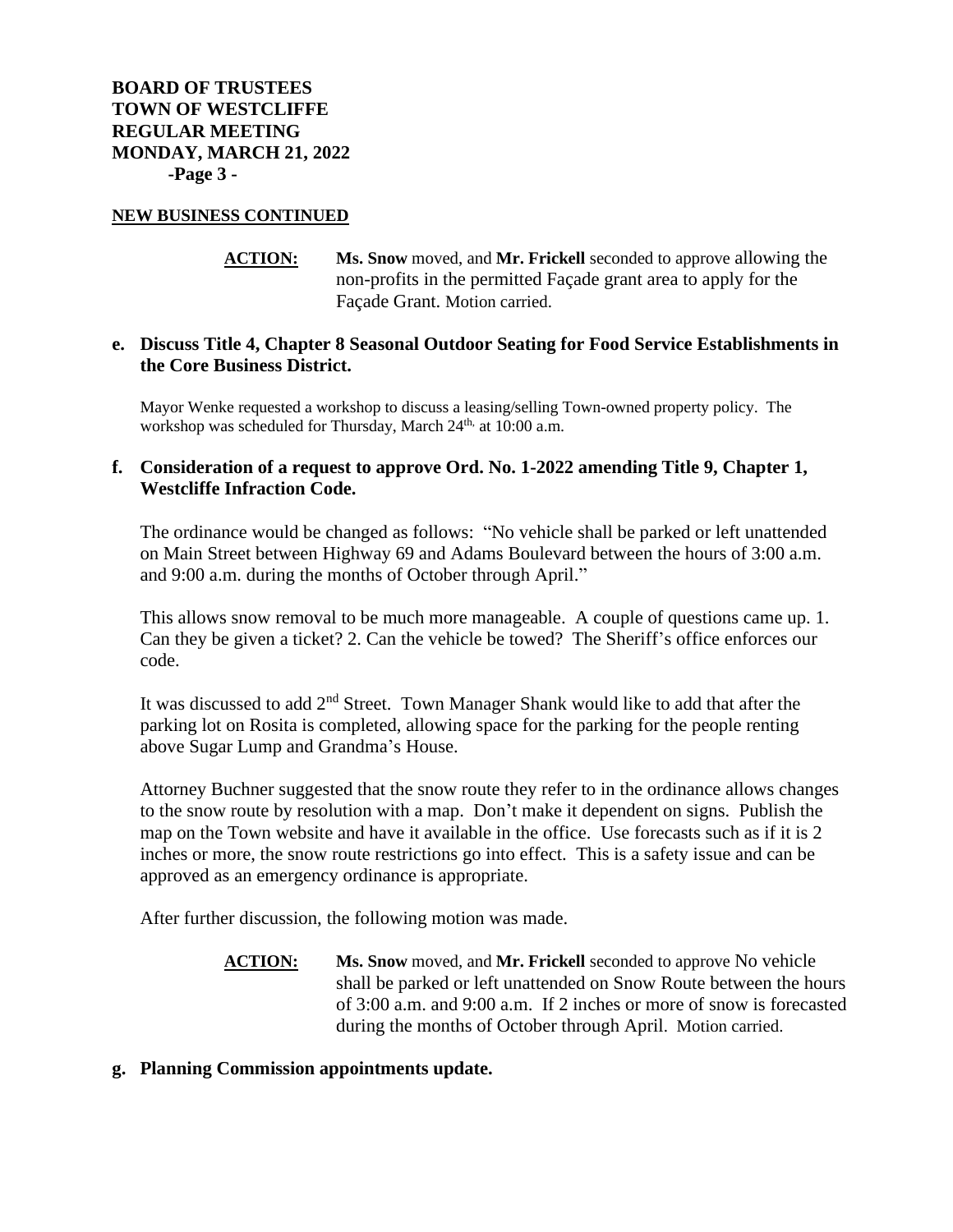## **NEW BUSINESS CONTINUED**

**ACTION: Ms. Snow** moved, and **Mr. Frickell** seconded to approve allowing the non-profits in the permitted Façade grant area to apply for the Façade Grant. Motion carried.

# **e. Discuss Title 4, Chapter 8 Seasonal Outdoor Seating for Food Service Establishments in the Core Business District.**

Mayor Wenke requested a workshop to discuss a leasing/selling Town-owned property policy. The workshop was scheduled for Thursday, March 24<sup>th,</sup> at 10:00 a.m.

# **f. Consideration of a request to approve Ord. No. 1-2022 amending Title 9, Chapter 1, Westcliffe Infraction Code.**

The ordinance would be changed as follows: "No vehicle shall be parked or left unattended on Main Street between Highway 69 and Adams Boulevard between the hours of 3:00 a.m. and 9:00 a.m. during the months of October through April."

This allows snow removal to be much more manageable. A couple of questions came up. 1. Can they be given a ticket? 2. Can the vehicle be towed? The Sheriff's office enforces our code.

It was discussed to add 2nd Street. Town Manager Shank would like to add that after the parking lot on Rosita is completed, allowing space for the parking for the people renting above Sugar Lump and Grandma's House.

Attorney Buchner suggested that the snow route they refer to in the ordinance allows changes to the snow route by resolution with a map. Don't make it dependent on signs. Publish the map on the Town website and have it available in the office. Use forecasts such as if it is 2 inches or more, the snow route restrictions go into effect. This is a safety issue and can be approved as an emergency ordinance is appropriate.

After further discussion, the following motion was made.

- **ACTION: Ms. Snow** moved, and **Mr. Frickell** seconded to approve No vehicle shall be parked or left unattended on Snow Route between the hours of 3:00 a.m. and 9:00 a.m. If 2 inches or more of snow is forecasted during the months of October through April. Motion carried.
- **g. Planning Commission appointments update.**